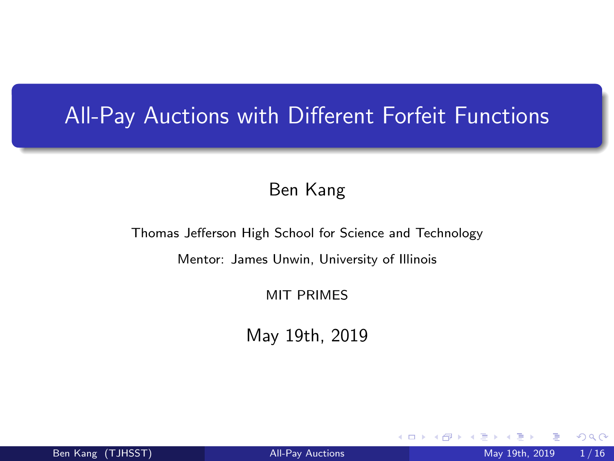# <span id="page-0-0"></span>All-Pay Auctions with Different Forfeit Functions

#### Ben Kang

Thomas Jefferson High School for Science and Technology

Mentor: James Unwin, University of Illinois

MIT PRIMES

May 19th, 2019

4 0 8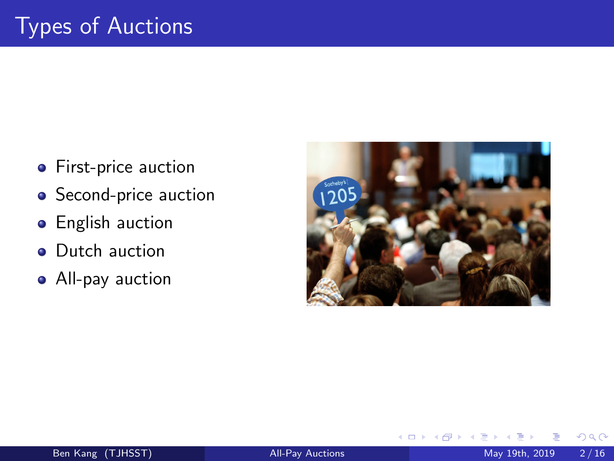- **•** First-price auction
- **•** Second-price auction
- **•** English auction
- Dutch auction
- All-pay auction



4 **D F**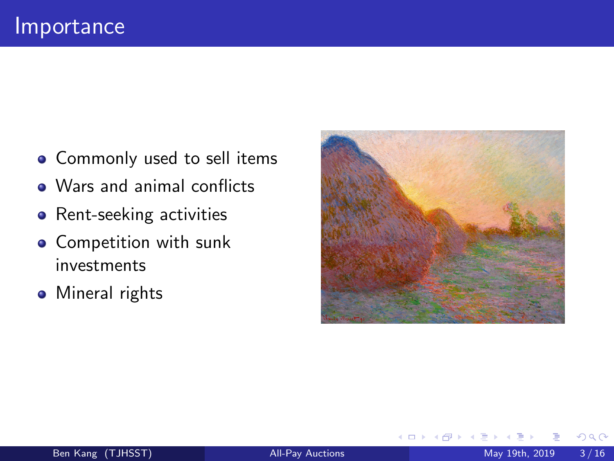- Commonly used to sell items
- Wars and animal conflicts
- Rent-seeking activities
- **•** Competition with sunk investments
- **•** Mineral rights



4 0 8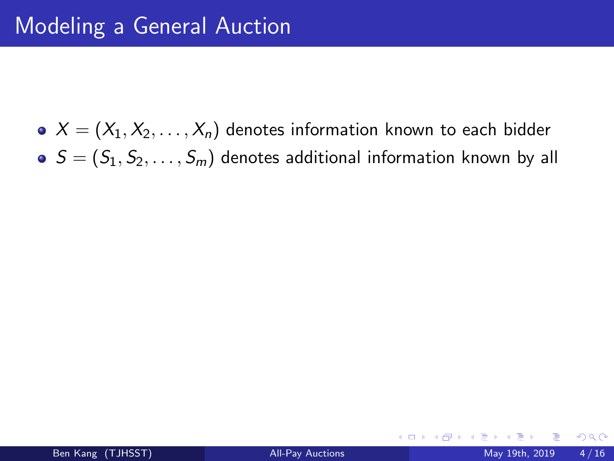$X = (X_1, X_2, \ldots, X_n)$  denotes information known to each bidder  $S = (S_1, S_2, \ldots, S_m)$  denotes additional information known by all

4 0 8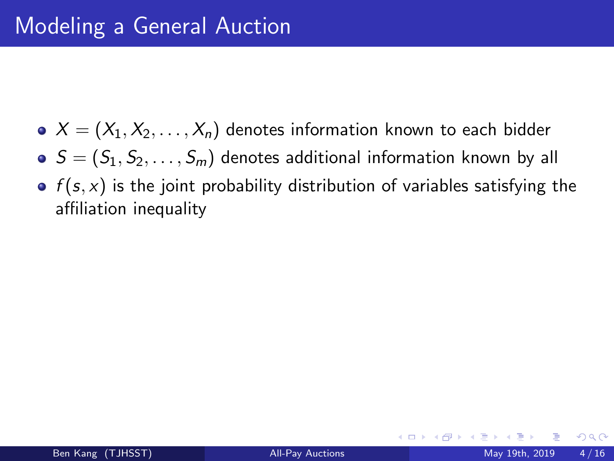- $X = (X_1, X_2, \ldots, X_n)$  denotes information known to each bidder
- $S = (S_1, S_2, \ldots, S_m)$  denotes additional information known by all
- $\bullet$   $f(s, x)$  is the joint probability distribution of variables satisfying the affiliation inequality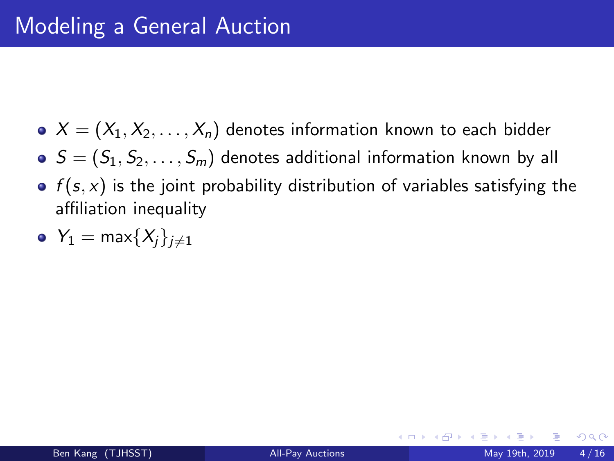- $X = (X_1, X_2, \ldots, X_n)$  denotes information known to each bidder
- $S = (S_1, S_2, \ldots, S_m)$  denotes additional information known by all
- $\bullet$   $f(s, x)$  is the joint probability distribution of variables satisfying the affiliation inequality
- $Y_1 = \max\{X_i\}_{i \neq 1}$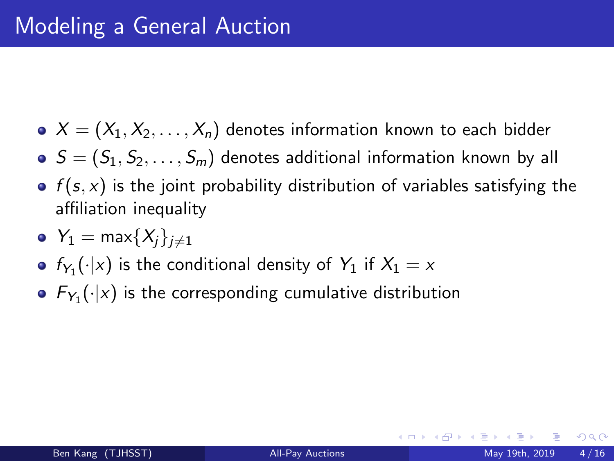- $X = (X_1, X_2, \ldots, X_n)$  denotes information known to each bidder
- $S = (S_1, S_2, \ldots, S_m)$  denotes additional information known by all
- $\bullet$   $f(s, x)$  is the joint probability distribution of variables satisfying the affiliation inequality
- $Y_1 = \max\{X_i\}_{i \neq 1}$
- $f_{Y_1}(\cdot|x)$  is the conditional density of  $Y_1$  if  $X_1=x$
- $\mathcal{F}_{Y_1}(\cdot|x)$  is the corresponding cumulative distribution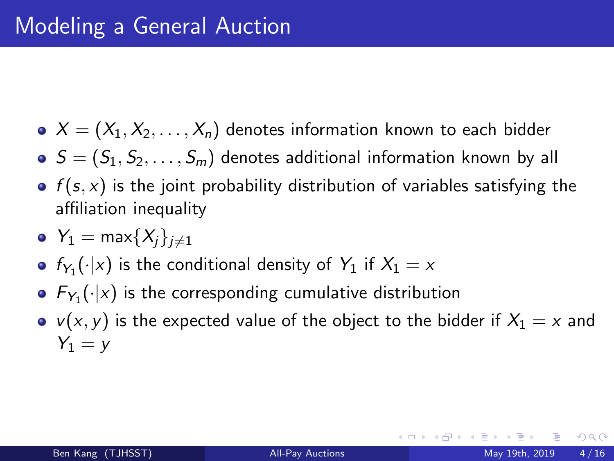- $X = (X_1, X_2, \ldots, X_n)$  denotes information known to each bidder
- $S = (S_1, S_2, \ldots, S_m)$  denotes additional information known by all
- $\bullet$   $f(s, x)$  is the joint probability distribution of variables satisfying the affiliation inequality
- $Y_1 = \max\{X_i\}_{i \neq 1}$
- $f_{Y_1}(\cdot|x)$  is the conditional density of  $Y_1$  if  $X_1=x$
- $\mathcal{F}_{Y_1}(\cdot|x)$  is the corresponding cumulative distribution
- $v(x, y)$  is the expected value of the object to the bidder if  $X_1 = x$  and  $Y_1 = v$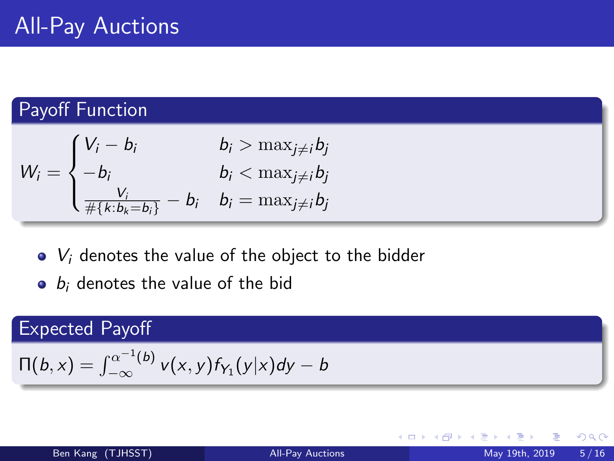## Payoff Function

$$
W_i = \begin{cases} V_i - b_i & b_i > \max_{j \neq i} b_j \\ -b_i & b_i < \max_{j \neq i} b_j \\ \frac{V_i}{\#\{k:b_k = b_i\}} - b_i & b_i = \max_{j \neq i} b_j \end{cases}
$$

- $\bullet$   $V_i$  denotes the value of the object to the bidder
- $\bullet$  b<sub>i</sub> denotes the value of the bid

## Expected Payoff

$$
\Pi(b, x) = \int_{-\infty}^{\alpha^{-1}(b)} v(x, y) f_{Y_1}(y|x) dy - b
$$

∢ □ ▶ ∢ <sup>□</sup> ▶ ∢ ∃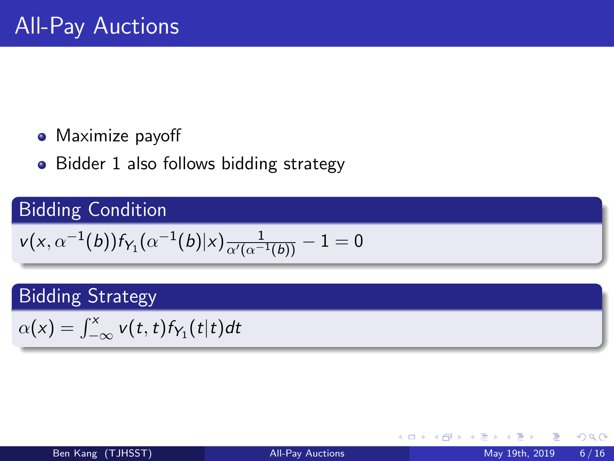#### • Maximize payoff

• Bidder 1 also follows bidding strategy

# Bidding Condition

$$
v(x, \alpha^{-1}(b))f_{Y_1}(\alpha^{-1}(b)|x) \frac{1}{\alpha'(\alpha^{-1}(b))} - 1 = 0
$$

# Bidding Strategy

 $\alpha(x) = \int_{-\infty}^{x} v(t, t) f_{Y_1}(t|t) dt$ 

 $298$ 

御き メミメメ

4 **D F**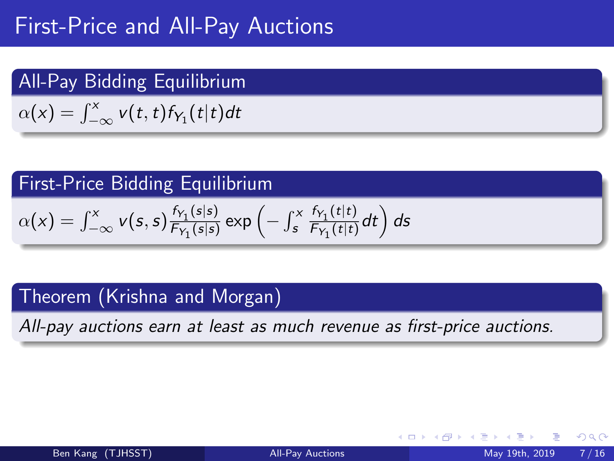# First-Price and All-Pay Auctions

## All-Pay Bidding Equilibrium

 $\alpha(x) = \int_{-\infty}^{x} v(t,t) f_{Y_1}(t|t) dt$ 

# First-Price Bidding Equilibrium

$$
\alpha(x) = \int_{-\infty}^{x} v(s,s) \frac{f_{\gamma_1}(s|s)}{F_{\gamma_1}(s|s)} \exp\left(-\int_{s}^{x} \frac{f_{\gamma_1}(t|t)}{F_{\gamma_1}(t|t)}dt\right) ds
$$

# Theorem (Krishna and Morgan)

All-pay auctions earn at least as much revenue as first-price auctions.

 $QQQ$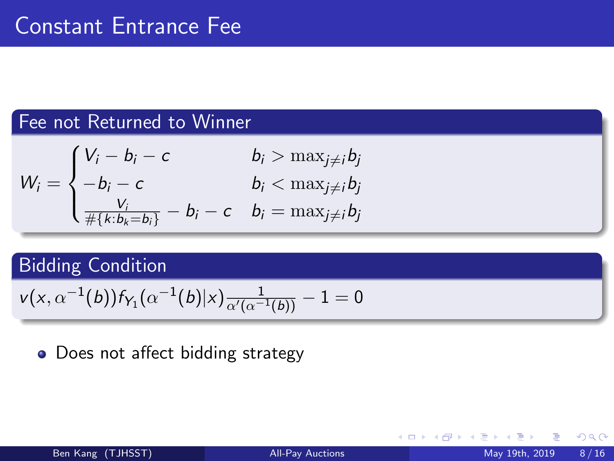#### Fee not Returned to Winner

$$
W_i = \begin{cases} V_i - b_i - c & b_i > \max_{j \neq i} b_j \\ -b_i - c & b_i < \max_{j \neq i} b_j \\ \frac{V_i}{\# \{k : b_k = b_i\}} - b_i - c & b_i = \max_{j \neq i} b_j \end{cases}
$$

# Bidding Condition

$$
v(x, \alpha^{-1}(b))f_{Y_1}(\alpha^{-1}(b)|x) \frac{1}{\alpha'(\alpha^{-1}(b))} - 1 = 0
$$

## • Does not affect bidding strategy

4 **D F**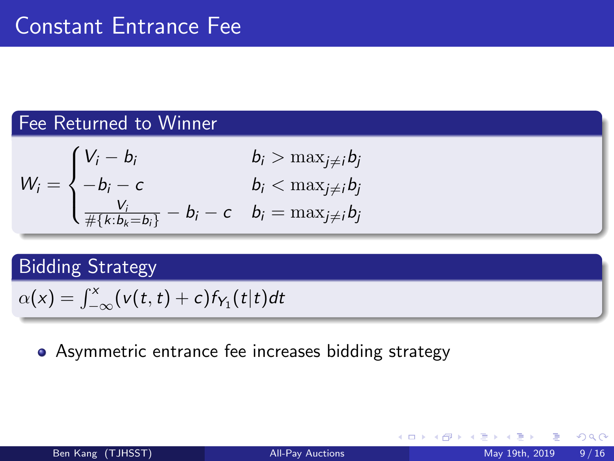#### Fee Returned to Winner

$$
W_i = \begin{cases} V_i - b_i & b_i > \max_{j \neq i} b_j \\ -b_i - c & b_i < \max_{j \neq i} b_j \\ \frac{V_i}{\#\{\kappa : b_k = b_i\}} - b_i - c & b_i = \max_{j \neq i} b_j \end{cases}
$$

# Bidding Strategy

$$
\alpha(x) = \int_{-\infty}^x (v(t,t) + c) f_{Y_1}(t|t) dt
$$

#### Asymmetric entrance fee increases bidding strategy

4 **D F**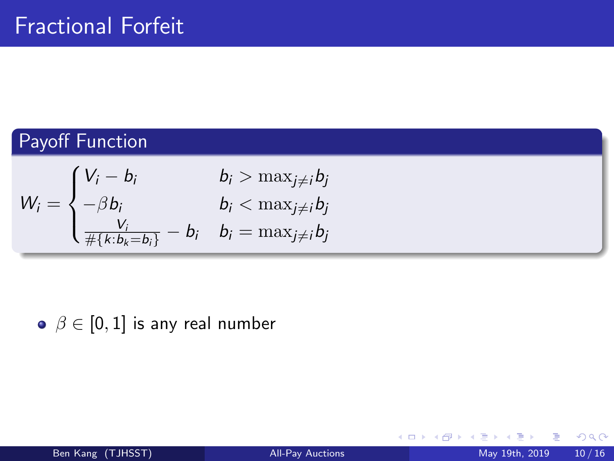# Payoff Function

$$
W_i = \begin{cases} V_i - b_i & b_i > \max_{j \neq i} b_j \\ -\beta b_i & b_i < \max_{j \neq i} b_j \\ \frac{V_i}{\#\{k: b_k = b_i\}} - b_i & b_i = \max_{j \neq i} b_j \end{cases}
$$

 $\bullet \ \beta \in [0,1]$  is any real number

イロト

**∢ 何 ≯ →** э э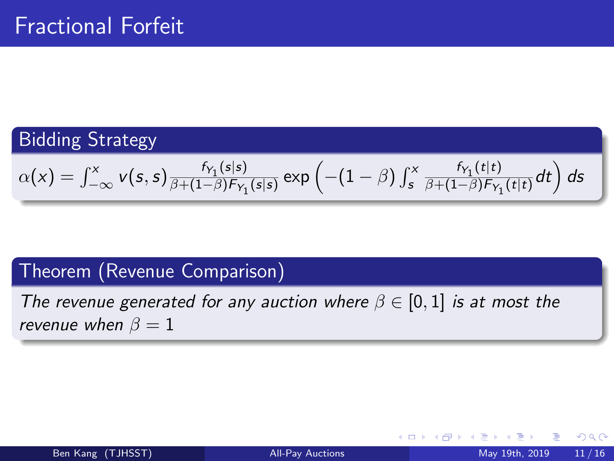## Bidding Strategy

$$
\alpha(x) = \int_{-\infty}^{x} v(s,s) \frac{f_{\gamma_1}(s|s)}{\beta + (1-\beta)f_{\gamma_1}(s|s)} \exp\left(-(1-\beta)\int_s^x \frac{f_{\gamma_1}(t|t)}{\beta + (1-\beta)f_{\gamma_1}(t|t)}dt\right) ds
$$

### Theorem (Revenue Comparison)

The revenue generated for any auction where  $\beta \in [0,1]$  is at most the revenue when  $\beta = 1$ 

4 **D F** 

 $QQQ$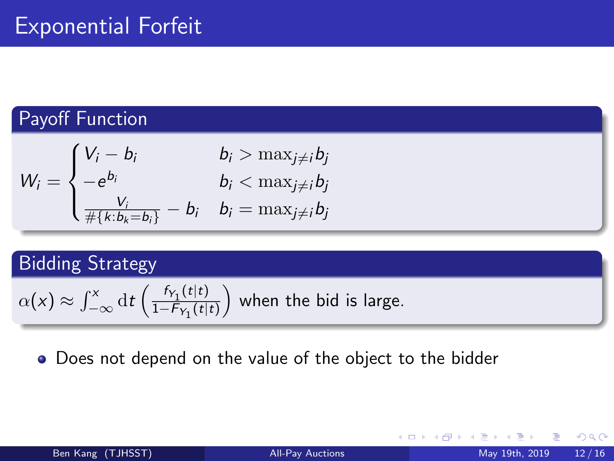### Payoff Function

$$
W_i = \begin{cases} V_i - b_i & b_i > \max_{j \neq i} b_j \\ -e^{b_i} & b_i < \max_{j \neq i} b_j \\ \frac{V_i}{\#\{k:b_k = b_i\}} - b_i & b_i = \max_{j \neq i} b_j \end{cases}
$$

# Bidding Strategy

$$
\alpha(x) \approx \int_{-\infty}^{x} dt \left( \frac{f_{Y_1}(t|t)}{1 - F_{Y_1}(t|t)} \right)
$$
 when the bid is large.

Does not depend on the value of the object to the bidder

4 **D F** 

э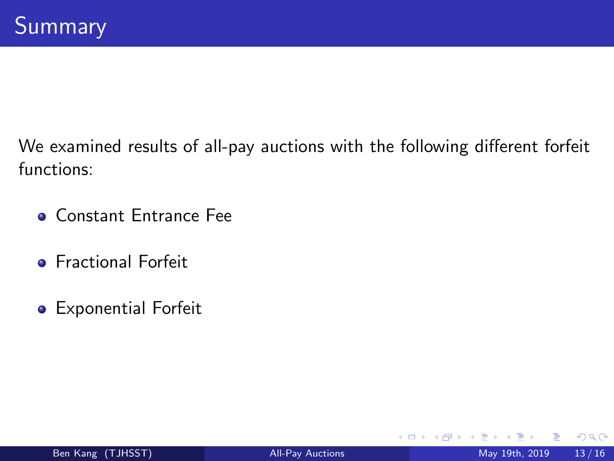We examined results of all-pay auctions with the following different forfeit functions:

- **Constant Entrance Fee**
- **Fractional Forfeit**
- Exponential Forfeit

4 **D F**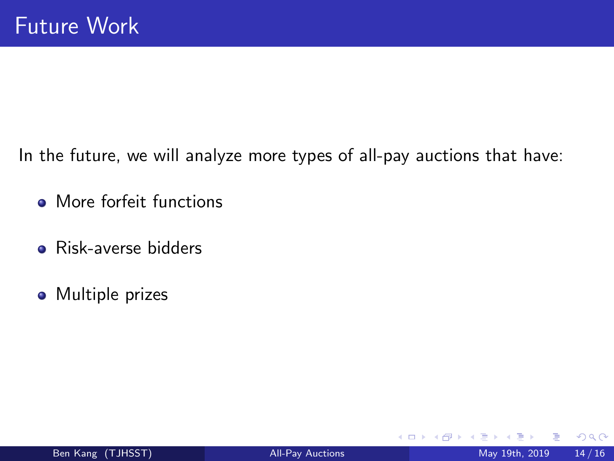In the future, we will analyze more types of all-pay auctions that have:

- More forfeit functions
- **•** Risk-averse bidders
- Multiple prizes

4 **D F**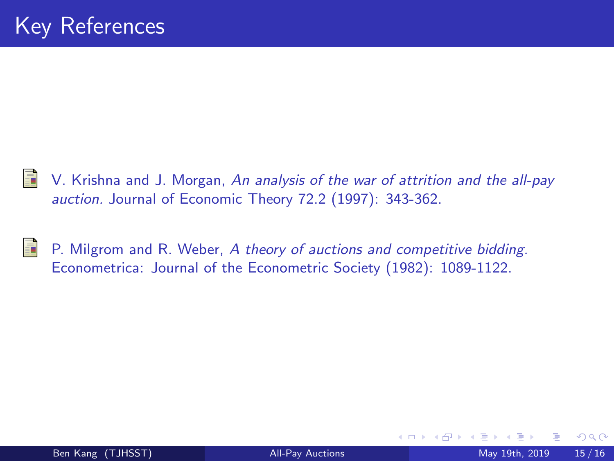

V. Krishna and J. Morgan, An analysis of the war of attrition and the all-pay auction. Journal of Economic Theory 72.2 (1997): 343-362.



P. Milgrom and R. Weber, A theory of auctions and competitive bidding. Econometrica: Journal of the Econometric Society (1982): 1089-1122.

4 0 8